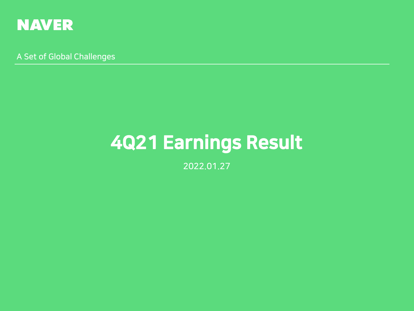

A Set of Global Challenges

# 4Q21 Earnings Result

2022.01.27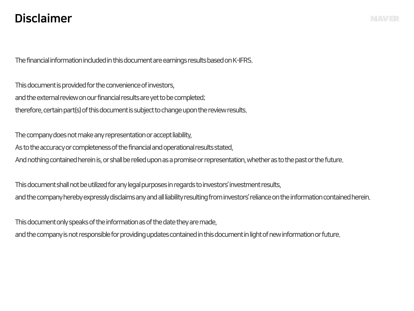## Disclaimer

The financial information included in this document are earnings results based on K-IFRS.

This document is provided for the convenience of investors, and the external review on our financial results are yet to be completed; therefore, certain part(s) of this document is subject to change upon the review results.

The company does not make any representation or accept liability, As to the accuracy or completeness of the financial and operational results stated, And nothing contained herein is, or shall be relied upon as a promise or representation, whether as to the past or the future.

This document shall not be utilized for any legal purposes in regards to investors' investment results, and the company hereby expressly disclaims any and all liability resulting from investors' reliance on the information containedherein.

This document only speaks of the information as of the date they are made,

and the company is not responsible for providing updates contained in this document in light of new information or future.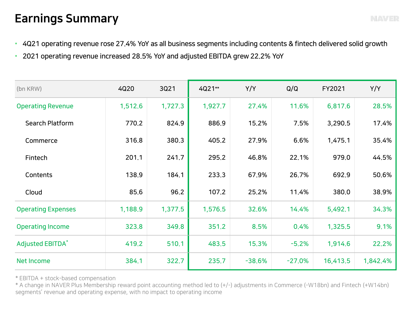## Earnings Summary

- 4Q21 operating revenue rose 27.4% YoY as all business segments including contents & fintech delivered solid growth
- 2021 operating revenue increased 28.5% YoY and adjusted EBITDA grew 22.2% YoY

| (bn KRW)                  | 4Q20    | 3Q21    | 4Q21**  | Y/Y      | Q/Q      | FY2021   | Y/Y      |
|---------------------------|---------|---------|---------|----------|----------|----------|----------|
| <b>Operating Revenue</b>  | 1,512.6 | 1,727.3 | 1,927.7 | 27.4%    | 11.6%    | 6,817.6  | 28.5%    |
| <b>Search Platform</b>    | 770.2   | 824.9   | 886.9   | 15.2%    | 7.5%     | 3,290.5  | 17.4%    |
| Commerce                  | 316.8   | 380.3   | 405.2   | 27.9%    | 6.6%     | 1,475.1  | 35.4%    |
| Fintech                   | 201.1   | 241.7   | 295.2   | 46.8%    | 22.1%    | 979.0    | 44.5%    |
| Contents                  | 138.9   | 184.1   | 233.3   | 67.9%    | 26.7%    | 692.9    | 50.6%    |
| Cloud                     | 85.6    | 96.2    | 107.2   | 25.2%    | 11.4%    | 380.0    | 38.9%    |
| <b>Operating Expenses</b> | 1,188.9 | 1,377.5 | 1,576.5 | 32.6%    | 14.4%    | 5,492.1  | 34.3%    |
| <b>Operating Income</b>   | 323.8   | 349.8   | 351.2   | 8.5%     | 0.4%     | 1,325.5  | 9.1%     |
| <b>Adjusted EBITDA*</b>   | 419.2   | 510.1   | 483.5   | 15.3%    | $-5.2%$  | 1,914.6  | 22.2%    |
| <b>Net Income</b>         | 384.1   | 322.7   | 235.7   | $-38.6%$ | $-27.0%$ | 16,413.5 | 1,842.4% |

\* EBITDA + stock-based compensation

\* A change in NAVER Plus Membership reward point accounting method led to (+/-) adjustments in Commerce (-W18bn) and Fintech (+W14bn) segments' revenue and operating expense, with no impact to operating income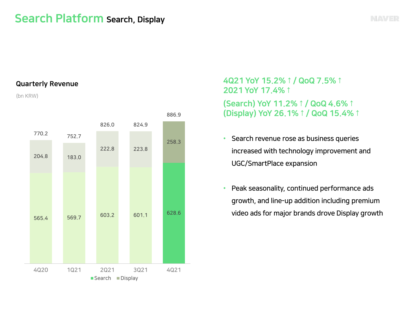## Search Platform Search, Display



#### Quarterly Revenue

(bn KRW)



4Q21 YoY 15.2%↑/ QoQ 7.5%↑ 2021 YoY 17.4%↑ (Search) YoY 11.2%↑/ QoQ 4.6%↑ (Display) YoY 26.1%↑/ QoQ 15.4%↑

- Search revenue rose as business queries increased with technology improvement and UGC/SmartPlace expansion
- Peak seasonality, continued performance ads growth, and line-up addition including premium video ads for major brands drove Display growth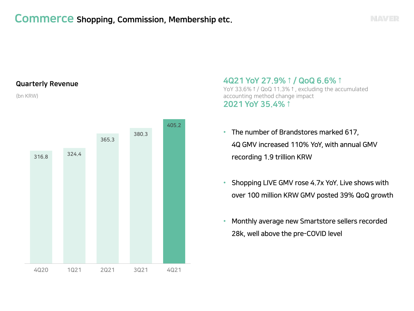#### Quarterly Revenue

(bn KRW)



4Q21 YoY 27.9%↑/ QoQ 6.6%↑ YoY 33.6%↑/ QoQ 11.3%↑, excluding the accumulated accounting method change impact 2021 YoY 35.4%↑

- The number of Brandstores marked 617, 4Q GMV increased 110% YoY, with annual GMV recording 1.9 trillion KRW
- Shopping LIVE GMV rose 4.7x YoY. Live shows with over 100 million KRW GMV posted 39% QoQ growth
- Monthly average new Smartstore sellers recorded 28k, well above the pre-COVID level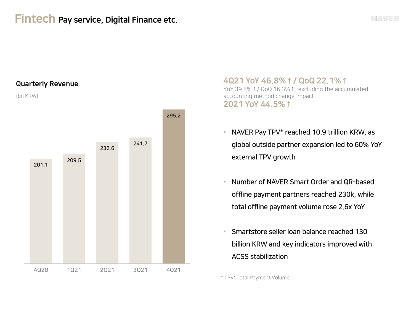## Fintech Pay service, Digital Finance etc.

#### Quarterly Revenue

(bn KRW)



4Q21 YoY 46.8%↑/ QoQ 22.1%↑ YoY 39.8%↑/ QoQ 16.3%↑, excluding the accumulated accounting method change impact 2021 YoY 44.5%↑

- NAVER Pay TPV\* reached 10.9 trillion KRW, as global outside partner expansion led to 60% YoY external TPV growth
- Number of NAVER Smart Order and QR-based offline payment partners reached 230k, while total offline payment volume rose 2.6x YoY
- Smartstore seller loan balance reached 130 billion KRW and key indicators improved with ACSS stabilization

\* TPV: Total Payment Volume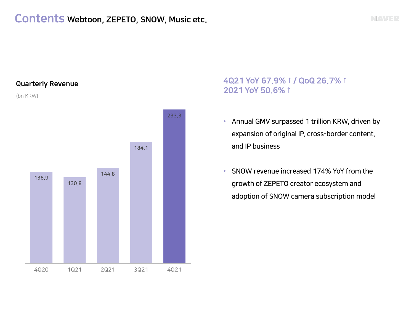### Contents Webtoon, ZEPETO, SNOW, Music etc.

#### Quarterly Revenue

(bn KRW)

![](_page_6_Figure_4.jpeg)

### 4Q21 YoY 67.9%↑/ QoQ 26.7%↑ 2021 YoY 50.6%↑

- Annual GMV surpassed 1 trillion KRW, driven by expansion of original IP, cross-border content, and IP business
- SNOW revenue increased 174% YoY from the growth of ZEPETO creator ecosystem and adoption of SNOW camera subscription model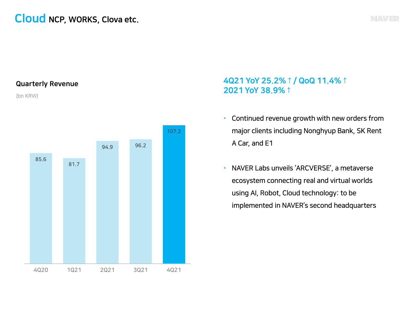## Cloud NCP, WORKS, Clova etc.

#### Quarterly Revenue

(bn KRW)

![](_page_7_Figure_3.jpeg)

### 4Q21 YoY 25.2%↑/ QoQ 11.4%↑ 2021 YoY 38.9%↑

- Continued revenue growth with new orders from major clients including Nonghyup Bank, SK Rent A Car, and E1
- NAVER Labs unveils 'ARCVERSE', a metaverse ecosystem connecting real and virtual worlds using AI, Robot, Cloud technology: to be implemented in NAVER's second headquarters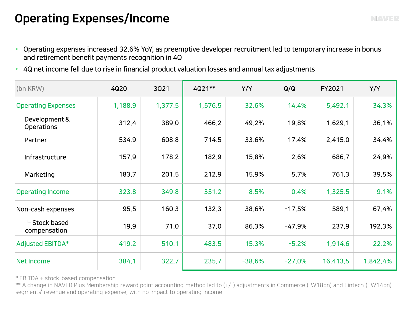## Operating Expenses/Income

- Operating expenses increased 32.6% YoY, as preemptive developer recruitment led to temporary increase in bonus and retirement benefit payments recognition in 4Q
- 4Q net income fell due to rise in financial product valuation losses and annual tax adjustments

| (bn KRW)                                          | 4Q20    | 3Q21    | 4Q21**  | Y/Y      | Q/Q      | FY2021   | Y/Y      |
|---------------------------------------------------|---------|---------|---------|----------|----------|----------|----------|
| <b>Operating Expenses</b>                         | 1,188.9 | 1,377.5 | 1,576.5 | 32.6%    | 14.4%    | 5,492.1  | 34.3%    |
| Development &<br><b>Operations</b>                | 312.4   | 389,0   | 466.2   | 49.2%    | 19.8%    | 1,629.1  | 36.1%    |
| Partner                                           | 534.9   | 608.8   | 714.5   | 33.6%    | 17.4%    | 2,415.0  | 34.4%    |
| Infrastructure                                    | 157.9   | 178.2   | 182.9   | 15.8%    | 2.6%     | 686.7    | 24.9%    |
| Marketing                                         | 183.7   | 201.5   | 212.9   | 15.9%    | 5.7%     | 761.3    | 39.5%    |
| <b>Operating Income</b>                           | 323.8   | 349.8   | 351.2   | 8.5%     | 0.4%     | 1,325.5  | 9.1%     |
| Non-cash expenses                                 | 95.5    | 160.3   | 132.3   | 38,6%    | $-17.5%$ | 589.1    | 67.4%    |
| $\mathsf{\mathsf{L}}$ Stock based<br>compensation | 19.9    | 71.0    | 37.0    | 86.3%    | $-47.9%$ | 237.9    | 192.3%   |
| <b>Adjusted EBITDA*</b>                           | 419.2   | 510.1   | 483.5   | 15.3%    | $-5.2%$  | 1,914.6  | 22,2%    |
| <b>Net Income</b>                                 | 384.1   | 322.7   | 235.7   | $-38.6%$ | $-27.0%$ | 16,413.5 | 1,842.4% |

\* EBITDA + stock-based compensation

\*\* A change in NAVER Plus Membership reward point accounting method led to (+/-) adjustments in Commerce (-W18bn) and Fintech (+W14bn) segments' revenue and operating expense, with no impact to operating income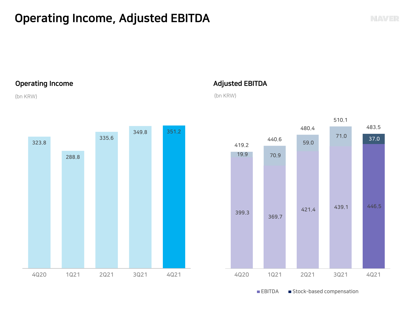## Operating Income, Adjusted EBITDA

#### Operating Income

#### (bn KRW)

![](_page_9_Figure_4.jpeg)

### Adjusted EBITDA

(bn KRW)

![](_page_9_Figure_7.jpeg)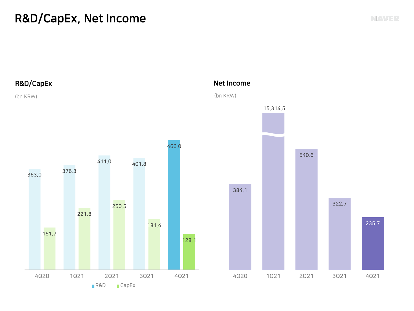## R&D/CapEx, Net Income

![](_page_10_Figure_1.jpeg)

235.7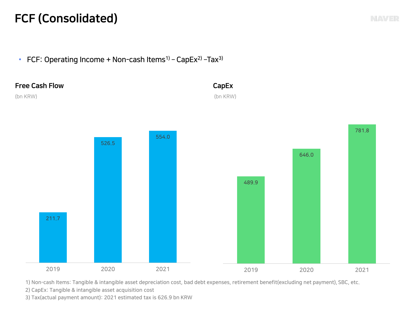## FCF (Consolidated)

• FCF: Operating Income + Non-cash Items<sup>1)</sup> – CapEx<sup>2)</sup> –Tax<sup>3)</sup>

![](_page_11_Figure_2.jpeg)

1) Non-cash Items: Tangible & intangible asset depreciation cost, bad debt expenses, retirement benefit(excluding net payment), SBC, etc.

2) CapEx: Tangible & intangible asset acquisition cost

3) Tax(actual payment amount): 2021 estimated tax is 626.9 bn KRW